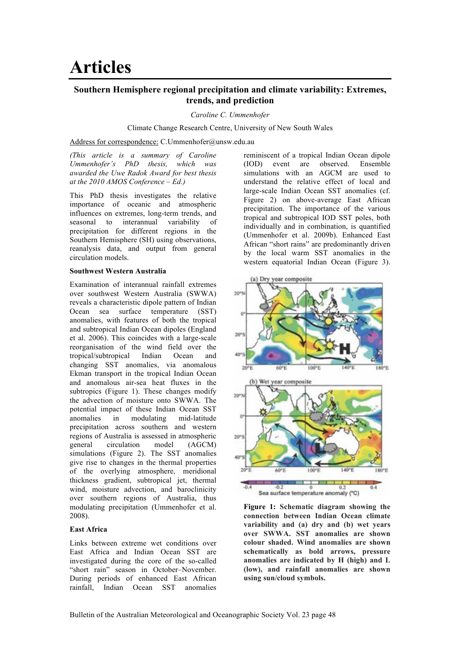# **Southern Hemisphere regional precipitation and climate variability: Extremes, trends, and prediction**

*Caroline C. Ummenhofer*

Climate Change Research Centre, University of New South Wales

Address for correspondence: C.Ummenhofer@unsw.edu.au

*(This article is a summary of Caroline Ummenhofer's PhD thesis, which was awarded the Uwe Radok Award for best thesis at the 2010 AMOS Conference – Ed.)*

This PhD thesis investigates the relative importance of oceanic and atmospheric influences on extremes, long-term trends, and seasonal to interannual variability of precipitation for different regions in the Southern Hemisphere (SH) using observations, reanalysis data, and output from general circulation models.

### **Southwest Western Australia**

Examination of interannual rainfall extremes over southwest Western Australia (SWWA) reveals a characteristic dipole pattern of Indian Ocean sea surface temperature (SST) anomalies, with features of both the tropical and subtropical Indian Ocean dipoles (England et al. 2006). This coincides with a large-scale reorganisation of the wind field over the tropical/subtropical Indian Ocean and changing SST anomalies, via anomalous Ekman transport in the tropical Indian Ocean and anomalous air-sea heat fluxes in the subtropics (Figure 1). These changes modify the advection of moisture onto SWWA. The potential impact of these Indian Ocean SST anomalies in modulating mid-latitude precipitation across southern and western regions of Australia is assessed in atmospheric general circulation model (AGCM) simulations (Figure 2). The SST anomalies give rise to changes in the thermal properties of the overlying atmosphere, meridional thickness gradient, subtropical jet, thermal wind, moisture advection, and baroclinicity over southern regions of Australia, thus modulating precipitation (Ummenhofer et al. 2008).

## **East Africa**

Links between extreme wet conditions over East Africa and Indian Ocean SST are investigated during the core of the so-called "short rain" season in October–November. During periods of enhanced East African rainfall, Indian Ocean SST anomalies

reminiscent of a tropical Indian Ocean dipole (IOD) event are observed. Ensemble simulations with an AGCM are used to understand the relative effect of local and large-scale Indian Ocean SST anomalies (cf. Figure 2) on above-average East African precipitation. The importance of the various tropical and subtropical IOD SST poles, both individually and in combination, is quantified (Ummenhofer et al. 2009b). Enhanced East African "short rains" are predominantly driven by the local warm SST anomalies in the western equatorial Indian Ocean (Figure 3).



**Figure 1: Schematic diagram showing the connection between Indian Ocean climate variability and (a) dry and (b) wet years over SWWA. SST anomalies are shown colour shaded. Wind anomalies are shown schematically as bold arrows, pressure anomalies are indicated by H (high) and L (low), and rainfall anomalies are shown using sun/cloud symbols.**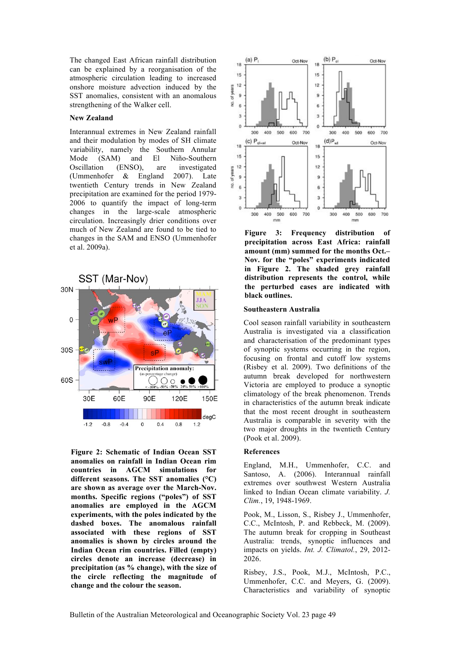The changed East African rainfall distribution can be explained by a reorganisation of the atmospheric circulation leading to increased onshore moisture advection induced by the SST anomalies, consistent with an anomalous strengthening of the Walker cell.

### **New Zealand**

Interannual extremes in New Zealand rainfall and their modulation by modes of SH climate variability, namely the Southern Annular Mode (SAM) and El Niño-Southern Oscillation (ENSO), are investigated (Ummenhofer & England 2007). Late twentieth Century trends in New Zealand precipitation are examined for the period 1979- 2006 to quantify the impact of long-term changes in the large-scale atmospheric circulation. Increasingly drier conditions over much of New Zealand are found to be tied to changes in the SAM and ENSO (Ummenhofer et al. 2009a).



**Figure 2: Schematic of Indian Ocean SST anomalies on rainfall in Indian Ocean rim countries in AGCM simulations for different seasons. The SST anomalies (°C) are shown as average over the March-Nov. months. Specific regions ("poles") of SST anomalies are employed in the AGCM experiments, with the poles indicated by the dashed boxes. The anomalous rainfall associated with these regions of SST anomalies is shown by circles around the Indian Ocean rim countries. Filled (empty) circles denote an increase (decrease) in precipitation (as % change), with the size of the circle reflecting the magnitude of change and the colour the season.**



**Figure 3: Frequency distribution of precipitation across East Africa: rainfall amount (mm) summed for the months Oct.– Nov. for the "poles" experiments indicated in Figure 2. The shaded grey rainfall distribution represents the control, while the perturbed cases are indicated with black outlines.** 

### **Southeastern Australia**

Cool season rainfall variability in southeastern Australia is investigated via a classification and characterisation of the predominant types of synoptic systems occurring in the region, focusing on frontal and cutoff low systems (Risbey et al. 2009). Two definitions of the autumn break developed for northwestern Victoria are employed to produce a synoptic climatology of the break phenomenon. Trends in characteristics of the autumn break indicate that the most recent drought in southeastern Australia is comparable in severity with the two major droughts in the twentieth Century (Pook et al. 2009).

#### **References**

England, M.H., Ummenhofer, C.C. and Santoso, A. (2006). Interannual rainfall extremes over southwest Western Australia linked to Indian Ocean climate variability. *J. Clim.*, 19, 1948-1969.

Pook, M., Lisson, S., Risbey J., Ummenhofer, C.C., McIntosh, P. and Rebbeck, M. (2009). The autumn break for cropping in Southeast Australia: trends, synoptic influences and impacts on yields. *Int. J. Climatol.*, 29, 2012- 2026.

Risbey, J.S., Pook, M.J., McIntosh, P.C., Ummenhofer, C.C. and Meyers, G. (2009). Characteristics and variability of synoptic